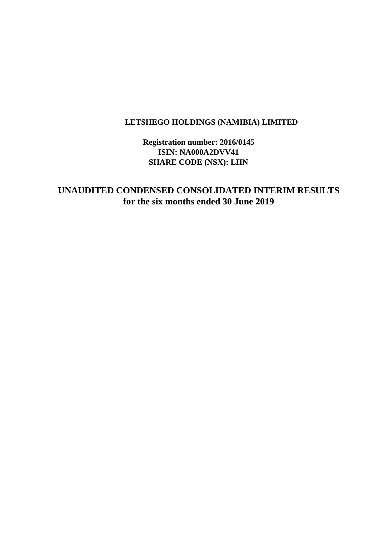# **LETSHEGO HOLDINGS (NAMIBIA) LIMITED**

**Registration number: 2016/0145 ISIN: NA000A2DVV41 SHARE CODE (NSX): LHN**

**UNAUDITED CONDENSED CONSOLIDATED INTERIM RESULTS for the six months ended 30 June 2019**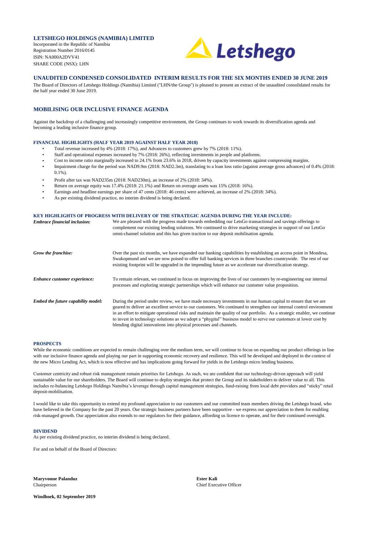### **LETSHEGO HOLDINGS (NAMIBIA) LIMITED**

Incorporated in the Republic of Namibia Registration Number 2016/0145 ISIN: NA000A2DVV41 SHARE CODE (NSX): LHN



### **UNAUDITED CONDENSED CONSOLIDATED INTERIM RESULTS FOR THE SIX MONTHS ENDED 30 JUNE 2019**

The Board of Directors of Letshego Holdings (Namibia) Limited ("LHN/the Group") is pleased to present an extract of the unaudited consolidated results for the half year ended 30 June 2019.

## **MOBILISING OUR INCLUSIVE FINANCE AGENDA**

Against the backdrop of a challenging and increasingly competitive environment, the Group continues to work towards its diversification agenda and becoming a leading inclusive finance group.

### **FINANCIAL HIGHLIGHTS (HALF YEAR 2019 AGAINST HALF YEAR 2018)**

- Total revenue increased by 4% (2018: 17%), and Advances to customers grew by 7% (2018: 11%).
- Staff and operational expenses increased by 7% (2018: 26%), reflecting investments in people and platforms.
- Cost to income ratio marginally increased to 24.1% from 23.6% in 2018, driven by capacity investments against compressing margins.
- Impairment charge for the period was NAD9.9m (2018: NAD2.3m), translating to a loan loss ratio (against average gross advances) of 0.4% (2018:  $0.1\%$ ).
- Profit after tax was NAD235m (2018: NAD230m), an increase of 2% (2018: 34%).
- Return on average equity was 17.4% (2018: 21.1%) and Return on average assets was 15% (2018: 16%).
- Earnings and headline earnings per share of 47 cents (2018: 46 cents) were achieved, an increase of 2% (2018: 34%).
- As per existing dividend practice, no interim dividend is being declared.

#### *Embrace financial inclusion:* **KEY HIGHLIGHTS OF PROGRESS WITH DELIVERY OF THE STRATEGIC AGENDA DURING THE YEAR INCLUDE:**<br>Furthered financial inclusions We are pleased with the progress made towards embedding our LetsGo transactional and savings offerings to

| етогасе таанстителизит.             | we are preased with the progress made towards emociding our EctsGo transactional and savings offerings to<br>complement our existing lending solutions. We continued to drive marketing strategies in support of our LetsGo<br>omni-channel solution and this has given traction to our deposit mobilisation agenda.                                                                                                                                                                                                                                          |
|-------------------------------------|---------------------------------------------------------------------------------------------------------------------------------------------------------------------------------------------------------------------------------------------------------------------------------------------------------------------------------------------------------------------------------------------------------------------------------------------------------------------------------------------------------------------------------------------------------------|
| Grow the franchise:                 | Over the past six months, we have expanded our banking capabilities by establishing an access point in Mondesa,<br>Swakopmund and we are now poised to offer full banking services in three branches countrywide. The rest of our<br>existing footprint will be upgraded in the impending future as we accelerate our diversification strategy.                                                                                                                                                                                                               |
| <b>Enhance customer experience:</b> | To remain relevant, we continued to focus on improving the lives of our customers by re-engineering our internal<br>processes and exploring strategic partnerships which will enhance our customer value proposition.                                                                                                                                                                                                                                                                                                                                         |
| Embed the future capability model:  | During the period under review, we have made necessary investments in our human capital to ensure that we are<br>geared to deliver an excellent service to our customers. We continued to strengthen our internal control environment<br>in an effort to mitigate operational risks and maintain the quality of our portfolio. As a strategic enabler, we continue<br>to invest in technology solutions as we adopt a "phygital" business model to serve our customers at lower cost by<br>blending digital innovations into physical processes and channels. |

### **PROSPECTS**

While the economic conditions are expected to remain challenging over the medium term, we will continue to focus on expanding our product offerings in line with our inclusive finance agenda and playing our part in supporting economic recovery and resilience. This will be developed and deployed in the context of the new Micro Lending Act, which is now effective and has implications going forward for yields in the Letshego micro lending business.

Customer centricity and robust risk management remain priorities for Letshego. As such, we are confident that our technology-driven approach will yield sustainable value for our shareholders. The Board will continue to deploy strategies that protect the Group and its stakeholders to deliver value to all. This includes re-balancing Letshego Holdings Namibia's leverage through capital management strategies, fund-raising from local debt providers and "sticky" retail deposit-mobilisation.

I would like to take this opportunity to extend my profound appreciation to our customers and our committed team members driving the Letshego brand, who have believed in the Company for the past 20 years. Our strategic business partners have been supportive - we express our appreciation to them for enabling risk-managed growth. Our appreciation also extends to our regulators for their guidance, affording us licence to operate, and for their continued oversight.

### **DIVIDEND**

As per existing dividend practice, no interim dividend is being declared.

For and on behalf of the Board of Directors:

**Maryvonne Palanduz Ester Kali**

**Windhoek, 02 September 2019**

Chairperson Chief Executive Officer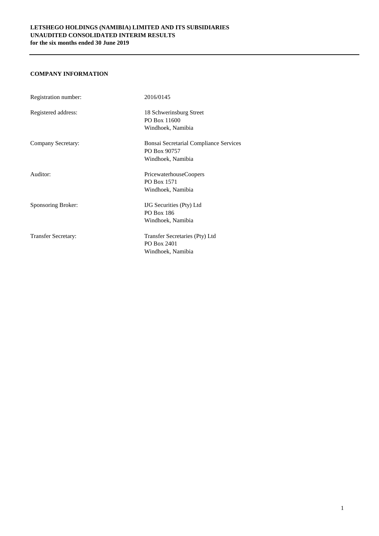# **COMPANY INFORMATION**

| Registration number:       | 2016/0145                                     |
|----------------------------|-----------------------------------------------|
| Registered address:        | 18 Schwerinsburg Street                       |
|                            | PO Box 11600                                  |
|                            | Windhoek, Namibia                             |
| Company Secretary:         | <b>Bonsai Secretarial Compliance Services</b> |
|                            | PO Box 90757                                  |
|                            | Windhoek, Namibia                             |
| Auditor:                   | <b>PricewaterhouseCoopers</b>                 |
|                            | PO Box 1571                                   |
|                            | Windhoek, Namibia                             |
| Sponsoring Broker:         | <b>IJG</b> Securities (Pty) Ltd               |
|                            | PO Box 186                                    |
|                            | Windhoek, Namibia                             |
| <b>Transfer Secretary:</b> | Transfer Secretaries (Pty) Ltd                |
|                            | PO Box 2401                                   |
|                            | Windhoek, Namibia                             |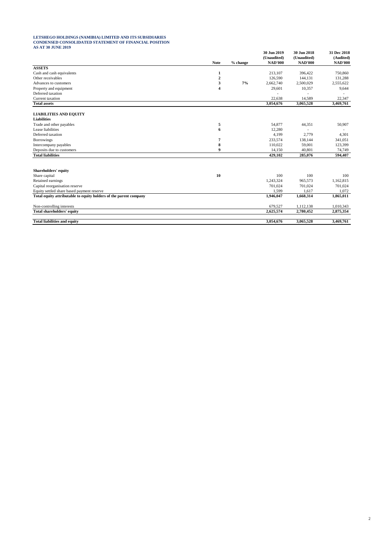### **LETSHEGO HOLDINGS (NAMIBIA) LIMITED AND ITS SUBSIDIARIES CONDENSED CONSOLIDATED STATEMENT OF FINANCIAL POSITION AS AT 30 JUNE 2019**

|                                                                   |                |          | 30 Jun 2019<br>(Unaudited) | 30 Jun 2018<br>(Unaudited) | 31 Dec 2018<br>(Audited) |
|-------------------------------------------------------------------|----------------|----------|----------------------------|----------------------------|--------------------------|
|                                                                   | <b>Note</b>    | % change | <b>NAD'000</b>             | <b>NAD'000</b>             | <b>NAD'000</b>           |
| <b>ASSETS</b>                                                     |                |          |                            |                            |                          |
| Cash and cash equivalents                                         | 1              |          | 213,107                    | 396,422                    | 750,860                  |
| Other receivables                                                 | $\overline{2}$ |          | 126,590                    | 144,131                    | 131,288                  |
| Advances to customers                                             | 3              | 7%       | 2,662,740                  | 2,500,029                  | 2,555,622                |
| Property and equipment                                            | 4              |          | 29,601                     | 10,357                     | 9,644                    |
| Deferred taxation                                                 |                |          |                            |                            |                          |
| Current taxation                                                  |                |          | 22,638                     | 14,589                     | 22,347                   |
| <b>Total assets</b>                                               |                |          | 3,054,676                  | 3,065,528                  | 3,469,761                |
| <b>LIABILITIES AND EQUITY</b>                                     |                |          |                            |                            |                          |
| <b>Liabilities</b>                                                |                |          |                            |                            |                          |
| Trade and other payables                                          | 5              |          | 54,877                     | 44,351                     | 50,907                   |
| Lease liabilities                                                 | 6              |          | 12,280                     |                            |                          |
| Deferred taxation                                                 |                |          | 4,199                      | 2,779                      | 4,301                    |
| <b>Borrowings</b>                                                 | 7              |          | 233,574                    | 138,144                    | 341,051                  |
| Intercompany payables                                             | 8              |          | 110,022                    | 59,001                     | 123,399                  |
| Deposits due to customers                                         | 9              |          | 14,150                     | 40,801                     | 74,749                   |
| <b>Total liabilities</b>                                          |                |          | 429,102                    | 285,076                    | 594,407                  |
|                                                                   |                |          |                            |                            |                          |
| Shareholders' equity                                              |                |          |                            |                            |                          |
| Share capital                                                     | 10             |          | 100                        | 100                        | 100                      |
| Retained earnings                                                 |                |          | 1,243,324                  | 965,573                    | 1,162,815                |
| Capital reorganisation reserve                                    |                |          | 701,024                    | 701,024                    | 701,024                  |
| Equity settled share based payment reserve                        |                |          | 1.599                      | 1.617                      | 1,072                    |
| Total equity attributable to equity holders of the parent company |                |          | 1,946,047                  | 1,668,314                  | 1,865,011                |
| Non-controlling interests                                         |                |          | 679,527                    | 1,112,138                  | 1,010,343                |
| <b>Total shareholders' equity</b>                                 |                |          | 2,625,574                  | 2,780,452                  | 2,875,354                |
| <b>Total liabilities and equity</b>                               |                |          | 3.054.676                  | 3,065,528                  | 3,469,761                |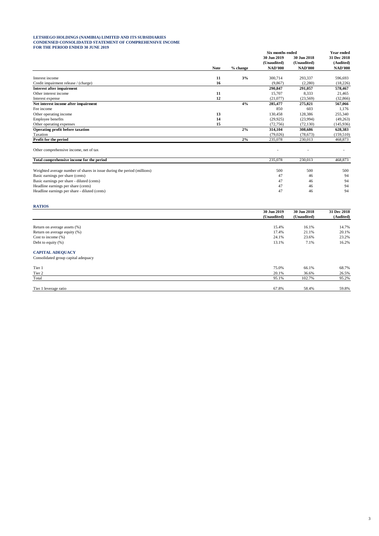### **LETSHEGO HOLDINGS (NAMIBIA) LIMITED AND ITS SUBSIDIARIES CONDENSED CONSOLIDATED STATEMENT OF COMPREHENSIVE INCOME FOR THE PERIOD ENDED 30 JUNE 2019**

|                                                                         |             |          | Six months ended |                            | <b>Year ended</b>        |
|-------------------------------------------------------------------------|-------------|----------|------------------|----------------------------|--------------------------|
|                                                                         |             |          | 30 Jun 2019      | 30 Jun 2018<br>(Unaudited) | 31 Dec 2018<br>(Audited) |
|                                                                         | <b>Note</b> |          | (Unaudited)      |                            |                          |
|                                                                         |             | % change | <b>NAD'000</b>   | <b>NAD'000</b>             | <b>NAD'000</b>           |
| Interest income                                                         | 11          | 3%       | 300,714          | 293.337                    | 596,693                  |
| Credit impairment release / (charge)                                    | 16          |          | (9,867)          | (2,280)                    | (18,226)                 |
| <b>Interest after impairment</b>                                        |             |          | 290,847          | 291,057                    | 578,467                  |
| Other interest income                                                   | 11          |          | 15,707           | 8,333                      | 21,465                   |
| Interest expense                                                        | 12          |          | (21.077)         | (23,569)                   | (32, 866)                |
| Net interest income after impairment                                    |             | 4%       | 285,477          | 275,821                    | 567,066                  |
| Fee income                                                              |             |          | 850              | 603                        | 1,176                    |
| Other operating income                                                  | 13          |          | 130,458          | 128,386                    | 255,340                  |
| Employee benefits                                                       | 14          |          | (29.925)         | (23,994)                   | (49, 263)                |
| Other operating expenses                                                | 15          |          | (72, 756)        | (72, 130)                  | (145, 936)               |
| Operating profit before taxation                                        |             | 2%       | 314,104          | 308,686                    | 628,383                  |
| Taxation                                                                |             |          | (79, 026)        | (78,673)                   | (159, 510)               |
| Profit for the period                                                   |             | 2%       | 235,078          | 230,013                    | 468,873                  |
| Other comprehensive income, net of tax                                  |             |          |                  |                            | ٠                        |
| Total comprehensive income for the period                               |             |          | 235,078          | 230,013                    | 468,873                  |
| Weighted average number of shares in issue during the period (millions) |             |          | 500              | 500                        | 500                      |
| Basic earnings per share (cents)                                        |             |          | 47               | 46                         | 94                       |
| Basic earnings per share - diluted (cents)                              |             |          | 47               | 46                         | 94                       |
| Headline earnings per share (cents)                                     |             |          | 47               | 46                         | 94                       |
| Headline earnings per share - diluted (cents)                           |             |          | 47               | 46                         | 94                       |
| <b>RATIOS</b>                                                           |             |          |                  |                            |                          |
|                                                                         |             |          | 30 Jun 2019      | 30 Jun 2018                | 31 Dec 2018              |
|                                                                         |             |          | (Unaudited)      | (Unaudited)                | (Audited)                |
| Return on average assets (%)                                            |             |          | 15.4%            | 16.1%                      | 14.7%                    |

Let the common and the common service of the common service of the common service of the common service of the common service of the common service of the common service of the common service of the common service of the

# **CAPITAL ADEQUACY**

| Consolidated group capital adequacy |       |        |       |
|-------------------------------------|-------|--------|-------|
| Tier 1                              | 75.0% | 66.1%  | 68.7% |
| Tier 2                              | 20.1% | 36.6%  | 26.5% |
| Total                               | 95.1% | 102.7% | 95.2% |
|                                     |       |        |       |
| Tier 1 leverage ratio               | 67.8% | 58.4%  | 59.8% |

Return on average equity (%) 20.1% 20.1% 20.1% 20.1% 20.1% 20.1% 20.1% 20.1% 20.1% 20.1% 20.1% 20.1% 20.1% 20.1% Cost to income (%) 24.1% 23.6% 23.2%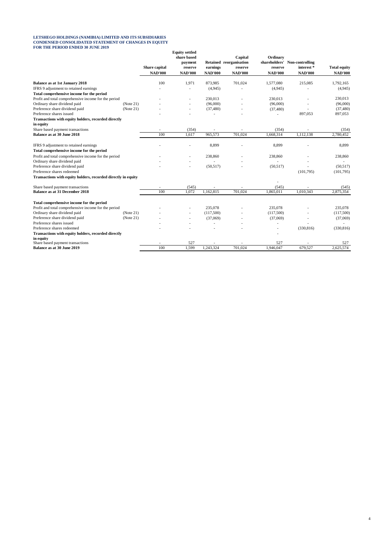### **LETSHEGO HOLDINGS (NAMIBIA) LIMITED AND ITS SUBSIDIARIES CONDENSED CONSOLIDATED STATEMENT OF CHANGES IN EQUITY FOR THE PERIOD ENDED 30 JUNE 2019**

| FOR THE PERIOD ENDED 50 JUNE 2019                                |           | Share capital<br><b>NAD'000</b> | <b>Equity settled</b><br>share based<br>payment<br>reserve<br><b>NAD'000</b> | earnings<br><b>NAD'000</b> | Capital<br>Retained reorganisation<br>reserve<br><b>NAD'000</b> | Ordinary<br>shareholders'<br>reserve<br><b>NAD'000</b> | Non-controlling<br>interest*<br><b>NAD'000</b> | <b>Total equity</b><br><b>NAD'000</b> |
|------------------------------------------------------------------|-----------|---------------------------------|------------------------------------------------------------------------------|----------------------------|-----------------------------------------------------------------|--------------------------------------------------------|------------------------------------------------|---------------------------------------|
| <b>Balance as at 1st January 2018</b>                            |           | 100                             | 1,971                                                                        | 873,985                    | 701,024                                                         | 1,577,080                                              | 215,085                                        | 1,792,165                             |
| IFRS 9 adjustment to retained earnings                           |           |                                 |                                                                              | (4,945)                    |                                                                 | (4,945)                                                |                                                | (4,945)                               |
| Total comprehensive income for the period                        |           |                                 |                                                                              |                            |                                                                 |                                                        |                                                |                                       |
| Profit and total comprehensive income for the period             |           |                                 |                                                                              | 230,013                    |                                                                 | 230,013                                                |                                                | 230,013                               |
| Ordinary share dividend paid                                     | (Note 21) |                                 |                                                                              | (96,000)                   |                                                                 | (96,000)                                               |                                                | (96,000)                              |
| Preference share dividend paid                                   | (Note 21) |                                 |                                                                              | (37, 480)                  |                                                                 | (37, 480)                                              |                                                | (37, 480)                             |
| Preference shares issued                                         |           |                                 |                                                                              | $\overline{\phantom{a}}$   |                                                                 |                                                        | 897,053                                        | 897,053                               |
| Transactions with equity holders, recorded directly<br>in equity |           |                                 |                                                                              |                            |                                                                 |                                                        |                                                |                                       |
| Share based payment transactions                                 |           | $\overline{\phantom{a}}$        | (354)                                                                        | ٠                          |                                                                 | (354)                                                  |                                                | (354)                                 |
| Balance as at 30 June 2018                                       |           | 100                             | 1,617                                                                        | 965,573                    | 701,024                                                         | 1,668,314                                              | 1,112,138                                      | 2,780,452                             |
| IFRS 9 adjustment to retained earnings                           |           |                                 |                                                                              | 8,899                      |                                                                 | 8,899                                                  |                                                | 8,899                                 |
| Total comprehensive income for the period                        |           |                                 |                                                                              |                            |                                                                 |                                                        |                                                |                                       |
| Profit and total comprehensive income for the period             |           |                                 |                                                                              | 238,860                    |                                                                 | 238,860                                                |                                                | 238,860                               |
| Ordinary share dividend paid                                     |           |                                 |                                                                              |                            |                                                                 |                                                        |                                                |                                       |
| Preference share dividend paid                                   |           |                                 |                                                                              | (50, 517)                  |                                                                 | (50,517)                                               |                                                | (50,517)                              |
| Preference shares redeemed                                       |           |                                 |                                                                              |                            |                                                                 |                                                        | (101,795)                                      | (101,795)                             |
| Transactions with equity holders, recorded directly in equity    |           |                                 |                                                                              |                            |                                                                 |                                                        |                                                |                                       |
| Share based payment transactions                                 |           |                                 | (545)                                                                        |                            |                                                                 | (545)                                                  |                                                | (545)                                 |
| <b>Balance as at 31 December 2018</b>                            |           | 100                             | 1.072                                                                        | 1,162,815                  | 701,024                                                         | 1,865,011                                              | 1,010,343                                      | 2,875,354                             |
| Total comprehensive income for the period                        |           |                                 |                                                                              |                            |                                                                 |                                                        |                                                |                                       |
| Profit and total comprehensive income for the period             |           |                                 |                                                                              | 235,078                    |                                                                 | 235,078                                                |                                                | 235,078                               |
| Ordinary share dividend paid                                     | (Note 21) |                                 |                                                                              | (117,500)                  |                                                                 | (117,500)                                              |                                                | (117,500)                             |
| Preference share dividend paid                                   | (Note 21) |                                 |                                                                              | (37,069)                   |                                                                 | (37,069)                                               |                                                | (37,069)                              |
| Preference shares issued                                         |           |                                 |                                                                              |                            |                                                                 |                                                        |                                                |                                       |
| Preference shares redeemed                                       |           |                                 |                                                                              |                            |                                                                 | $\overline{\phantom{a}}$                               | (330, 816)                                     | (330, 816)                            |
| Transactions with equity holders, recorded directly              |           |                                 |                                                                              |                            |                                                                 |                                                        |                                                |                                       |
| in equity                                                        |           |                                 |                                                                              |                            |                                                                 |                                                        |                                                |                                       |
| Share based payment transactions                                 |           |                                 | 527                                                                          |                            |                                                                 | 527                                                    |                                                | 527                                   |
| Balance as at 30 June 2019                                       |           | 100                             | 1,599                                                                        | 1,243,324                  | 701,024                                                         | 1,946,047                                              | 679,527                                        | 2,625,574                             |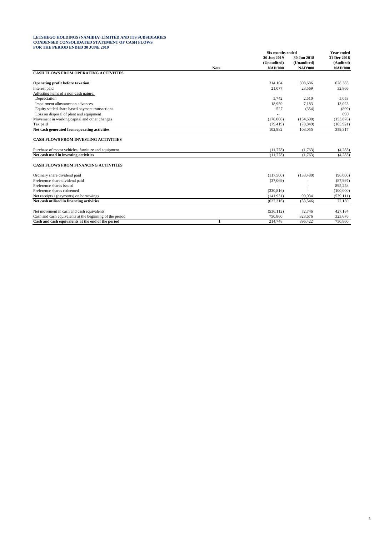### **LETSHEGO HOLDINGS (NAMIBIA) LIMITED AND ITS SUBSIDIARIES CONDENSED CONSOLIDATED STATEMENT OF CASH FLOWS FOR THE PERIOD ENDED 30 JUNE 2019**

|                                                                                                                |             | <b>Six months ended</b> |                    | <b>Year ended</b>        |
|----------------------------------------------------------------------------------------------------------------|-------------|-------------------------|--------------------|--------------------------|
|                                                                                                                |             | 30 Jun 2019             | 30 Jun 2018        | 31 Dec 2018<br>(Audited) |
|                                                                                                                |             | (Unaudited)             | (Unaudited)        |                          |
|                                                                                                                | <b>Note</b> | <b>NAD'000</b>          | <b>NAD'000</b>     | <b>NAD'000</b>           |
| <b>CASH FLOWS FROM OPERATING ACTIVITIES</b>                                                                    |             |                         |                    |                          |
| <b>Operating profit before taxation</b>                                                                        |             | 314.104                 | 308,686            | 628.383                  |
| Interest paid                                                                                                  |             | 21,077                  | 23,569             | 32,866                   |
| Adjusting items of a non-cash nature:                                                                          |             |                         |                    |                          |
| Depreciation                                                                                                   |             | 5.742                   | 2,510              | 5,053                    |
| Impairment allowance on advances                                                                               |             | 18,959                  | 7,183              | 13,023                   |
| Equity settled share based payment transactions                                                                |             | 527                     | (354)              | (899)                    |
| Loss on disposal of plant and equipment                                                                        |             |                         |                    | 690                      |
| Movement in working capital and other changes                                                                  |             | (178,008)               | (154,690)          | (153, 878)               |
| Tax paid                                                                                                       |             | (79, 419)               | (78, 849)          | (165, 921)               |
| Net cash generated from operating activities                                                                   |             | 102,982                 | 108,055            | 359,317                  |
| <b>CASH FLOWS FROM INVESTING ACTIVITIES</b><br>Purchase of motor vehicles, furniture and equipment             |             | (11, 778)               | (1,763)            | (4,283)                  |
| Net cash used in investing activities                                                                          |             | (11, 778)               | (1,763)            | (4, 283)                 |
|                                                                                                                |             |                         |                    |                          |
| <b>CASH FLOWS FROM FINANCING ACTIVITIES</b>                                                                    |             |                         |                    |                          |
| Ordinary share dividend paid                                                                                   |             | (117,500)               | (133, 480)         | (96,000)                 |
| Preference share dividend paid                                                                                 |             | (37,069)                |                    | (87,997)                 |
| Preference shares issued                                                                                       |             |                         |                    | 895.258                  |
| Preference shares redeemed                                                                                     |             | (330, 816)              |                    | (100,000)                |
| Net receipts / (payments) on borrowings                                                                        |             | (141.931)               | 99,934             | (539, 111)               |
| Net cash utilised in financing activities                                                                      |             | (627, 316)              | (33,546)           | 72,150                   |
|                                                                                                                |             |                         |                    |                          |
| Net movement in cash and cash equivalents                                                                      |             | (536, 112)              | 72,746             | 427,184<br>323,676       |
| Cash and cash equivalents at the beginning of the period<br>Cash and cash equivalents at the end of the period |             | 750,860<br>214,748      | 323,676<br>396.422 | 750,860                  |
|                                                                                                                | 1           |                         |                    |                          |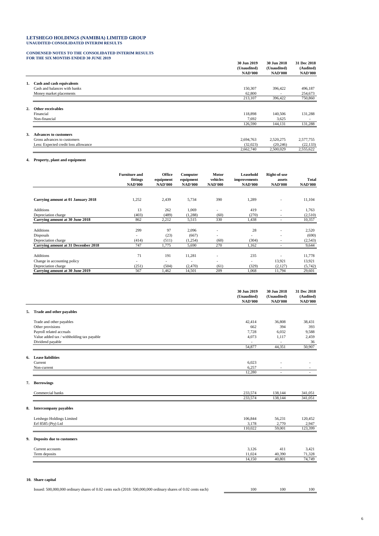# **LETSHEGO HOLDINGS (NAMIBIA) LIMITED GROUP UNAUDITED CONSOLIDATED INTERIM RESULTS**

# **CONDENSED NOTES TO THE CONSOLIDATED INTERIM RESULTS FOR THE SIX MONTHS ENDED 30 JUNE 2019**

|                                      | 30 Jun 2019<br>(Unaudited)<br><b>NAD'000</b> | 30 Jun 2018<br>(Unaudited)<br><b>NAD'000</b> | 31 Dec 2018<br>(Audited)<br><b>NAD'000</b> |
|--------------------------------------|----------------------------------------------|----------------------------------------------|--------------------------------------------|
| 1. Cash and cash equivalents         |                                              |                                              |                                            |
| Cash and balances with banks         | 150,307                                      | 396,422                                      | 496,187                                    |
| Money market placements              | 62,800                                       |                                              | 254,673                                    |
|                                      | 213,107                                      | 396,422                                      | 750,860                                    |
| 2. Other receivables                 |                                              |                                              |                                            |
| Financial                            | 118,898                                      | 140,506                                      | 131,288                                    |
| Non-financial                        | 7,692                                        | 3,625                                        |                                            |
|                                      | 126,590                                      | 144,131                                      | 131,288                                    |
| 3. Advances to customers             |                                              |                                              |                                            |
| Gross advances to customers          | 2,694,763                                    | 2,520,275                                    | 2,577,755                                  |
| Less: Expected credit loss allowance | (32,023)                                     | (20, 246)                                    | (22, 133)                                  |
|                                      | 2,662,740                                    | 2,500,029                                    | 2,555,622                                  |

## **4. Property, plant and equipment**

|                                     | <b>Furniture and</b><br>fittings<br><b>NAD'000</b> | Office<br>equipment<br><b>NAD'000</b> | Computer<br>equipment<br><b>NAD'000</b> | Motor<br>vehicles<br><b>NAD'000</b> | <b>Leasehold</b><br>improvements<br><b>NAD'000</b> | Right-of-use<br>assets<br><b>NAD'000</b> | Total<br><b>NAD'000</b> |
|-------------------------------------|----------------------------------------------------|---------------------------------------|-----------------------------------------|-------------------------------------|----------------------------------------------------|------------------------------------------|-------------------------|
|                                     |                                                    |                                       |                                         |                                     |                                                    |                                          |                         |
| Carrying amount at 01 January 2018  | 1,252                                              | 2,439                                 | 5,734                                   | 390                                 | 1,289                                              | $\overline{\phantom{a}}$                 | 11,104                  |
| <b>Additions</b>                    | 13                                                 | 262                                   | 1.069                                   | $\overline{\phantom{0}}$            | 419                                                | ٠                                        | 1,763                   |
| Depreciation charge                 | (403)                                              | (489)                                 | (1,288)                                 | (60)                                | (270)                                              | $\overline{\phantom{a}}$                 | (2,510)                 |
| Carrying amount at 30 June 2018     | 862                                                | 2,212                                 | 5,515                                   | 330                                 | 1,438                                              |                                          | 10,357                  |
|                                     |                                                    |                                       |                                         |                                     |                                                    |                                          |                         |
| <b>Additions</b>                    | 299                                                | 97                                    | 2.096                                   | $\overline{\phantom{a}}$            | 28                                                 | ٠                                        | 2,520                   |
| Disposals                           |                                                    | (23)                                  | (667)                                   | $\overline{\phantom{0}}$            | $\overline{\phantom{a}}$                           | ٠                                        | (690)                   |
| Depreciation charge                 | (414)                                              | (511)                                 | (1,254)                                 | (60)                                | (304)                                              | $\overline{\phantom{a}}$                 | (2, 543)                |
| Carrying amount at 31 December 2018 | 747                                                | 1,775                                 | 5,690                                   | 270                                 | 1,162                                              |                                          | 9,644                   |
|                                     |                                                    |                                       |                                         |                                     |                                                    |                                          |                         |
| <b>Additions</b>                    | 71                                                 | 191                                   | 11,281                                  | $\overline{\phantom{0}}$            | 235                                                |                                          | 11,778                  |
| Change in accounting policy         |                                                    | $\overline{\phantom{a}}$              | ۰                                       | $\overline{\phantom{0}}$            | $\overline{\phantom{a}}$                           | 13,921                                   | 13,921                  |
| Depreciation charge                 | (251)                                              | (504)                                 | (2,470)                                 | (61)                                | (329)                                              | (2,127)                                  | (5,742)                 |
| Carrying amount at 30 June 2019     | 567                                                | 1,462                                 | 14,501                                  | 209                                 | 1,068                                              | 11,794                                   | 29,601                  |

|    |                                           | 30 Jun 2019<br>(Unaudited)<br><b>NAD'000</b> | 30 Jun 2018<br>(Unaudited)<br><b>NAD'000</b> | 31 Dec 2018<br>(Audited)<br><b>NAD'000</b> |
|----|-------------------------------------------|----------------------------------------------|----------------------------------------------|--------------------------------------------|
| 5. | Trade and other payables                  |                                              |                                              |                                            |
|    | Trade and other payables                  | 42,414                                       | 36,808                                       | 38,431                                     |
|    | Other provisions                          | 662                                          | 394                                          | 393                                        |
|    | Payroll related accruals                  | 7,728                                        | 6,032                                        | 9,588                                      |
|    | Value added tax / withholding tax payable | 4,073                                        | 1,117                                        | 2,459                                      |
|    | Dividend payable                          | $\overline{\phantom{a}}$                     | $\overline{\phantom{a}}$                     | 36                                         |
|    |                                           | 54,877                                       | 44,351                                       | 50,907                                     |
|    | 6. Lease liabilities                      |                                              |                                              |                                            |
|    | Current                                   | 6,023                                        | $\overline{\phantom{0}}$                     |                                            |
|    | Non-current                               | 6,257                                        | $\overline{\phantom{a}}$                     | $\sim$                                     |
|    |                                           | 12,280                                       | $\overline{\phantom{a}}$                     | $\sim$                                     |
|    | 7. Borrowings                             |                                              |                                              |                                            |
|    | Commercial banks                          | 233,574                                      | 138,144                                      | 341,051                                    |
|    |                                           | 233,574                                      | 138,144                                      | 341,051                                    |
| 8. | <b>Intercompany payables</b>              |                                              |                                              |                                            |
|    | Letshego Holdings Limited                 | 106,844                                      | 56,231                                       | 120,452                                    |
|    | Erf 8585 (Pty) Ltd                        | 3,178                                        | 2,770                                        | 2,947                                      |
|    |                                           | 110,022                                      | 59,001                                       | 123,399                                    |
|    | 9. Deposits due to customers              |                                              |                                              |                                            |
|    | Current accounts                          | 3,126                                        | 411                                          | 3,421                                      |
|    | Term deposits                             | 11,024                                       | 40,390                                       | 71,328                                     |
|    |                                           | 14,150                                       | 40,801                                       | 74,749                                     |
|    | 10. Share capital                         |                                              |                                              |                                            |

Issued: 500,000,000 ordinary shares of 0.02 cents each (2018: 500,000,000 ordinary shares of 0.02 cents each) 100 100 100 100 100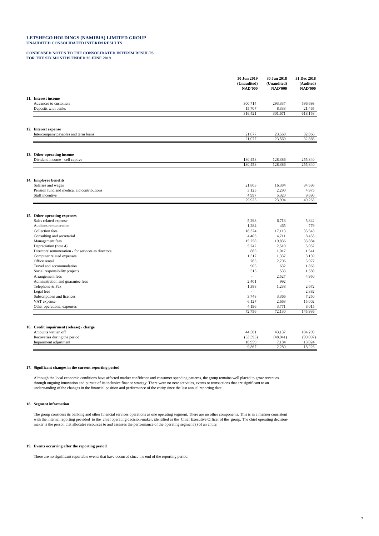### **LETSHEGO HOLDINGS (NAMIBIA) LIMITED GROUP UNAUDITED CONSOLIDATED INTERIM RESULTS**

### **CONDENSED NOTES TO THE CONSOLIDATED INTERIM RESULTS FOR THE SIX MONTHS ENDED 30 JUNE 2019**

|                                                     | 30 Jun 2019<br>(Unaudited)<br><b>NAD'000</b> | 30 Jun 2018<br>(Unaudited)<br><b>NAD'000</b> | 31 Dec 2018<br>(Audited)<br><b>NAD'000</b> |
|-----------------------------------------------------|----------------------------------------------|----------------------------------------------|--------------------------------------------|
| 11. Interest income                                 |                                              |                                              |                                            |
| Advances to customers                               | 300,714                                      | 293,337                                      | 596,693                                    |
| Deposits with banks                                 | 15,707                                       | 8,333                                        | 21,465                                     |
|                                                     | 316,421                                      | 301,671                                      | 618,158                                    |
|                                                     |                                              |                                              |                                            |
| 12. Interest expense                                |                                              |                                              |                                            |
| Intercompany payables and term loans                | 21,077                                       | 23,569                                       | 32,866                                     |
|                                                     | 21,077                                       | 23,569                                       | 32,866                                     |
|                                                     |                                              |                                              |                                            |
| 13. Other operating income                          |                                              |                                              |                                            |
| Dividend income - cell captive                      | 130,458                                      | 128,386                                      | 255,340                                    |
|                                                     | 130,458                                      | 128,386                                      | 255,340                                    |
|                                                     |                                              |                                              |                                            |
| 14. Employee benefits                               |                                              |                                              |                                            |
| Salaries and wages                                  | 21,803                                       | 16,384                                       | 34,598                                     |
| Pension fund and medical aid contributions          | 3,125                                        | 2,290                                        | 4,975                                      |
| Staff incentive                                     | 4,997<br>29,925                              | 5,320<br>23,994                              | 9,690<br>49,263                            |
|                                                     |                                              |                                              |                                            |
| 15. Other operating expenses                        |                                              |                                              |                                            |
| Sales related expense                               | 5,298                                        | 6.713                                        | 5.842                                      |
| Auditors remuneration                               | 1,284                                        | 465                                          | 779                                        |
| Collection fees                                     | 18,324                                       | 17,113                                       | 35,543                                     |
| Consulting and secretarial                          | 4,403                                        | 4,711                                        | 8,455                                      |
| Management fees                                     | 15,258                                       | 19,836                                       | 35,884                                     |
| Depreciation (note 4)                               | 5,742                                        | 2,510                                        | 5,052                                      |
| Directors' remuneration - for services as directors | 885                                          | 1,017                                        | 1,541                                      |
| Computer related expenses                           | 1,517                                        | 1,337                                        | 3,139                                      |
| Office rental                                       | 765                                          | 2,706                                        | 5,977                                      |
| Travel and accommodation                            | 905                                          | 632                                          | 1.865                                      |
| Social responsibility projects                      | 515                                          | 533                                          | 1,588                                      |
| Arrangement fees                                    | ÷.                                           | 2,527                                        | 4,950                                      |
| Administration and guarantee fees                   | 2,401                                        | 992                                          |                                            |
| Telephone & Fax                                     | 1,388                                        | 1,238                                        | 2,672                                      |
| Legal fees                                          | $\overline{\phantom{a}}$                     | $\overline{\phantom{a}}$                     | 2,382                                      |
| Subscriptions and licences                          | 3,748                                        | 3,366                                        | 7,250                                      |
| VAT expense                                         | 6,127                                        | 2,663                                        | 15,002                                     |
| Other operational expenses                          | 4,196<br>72,756                              | 3,771<br>72,130                              | 8,015<br>145,936                           |
|                                                     |                                              |                                              |                                            |
| 16. Credit impairment (release) / charge            |                                              |                                              |                                            |
| Amounts written off                                 | 44,501                                       | 43,137                                       | 104,299                                    |
| Recoveries during the period                        | (53, 593)                                    | (48, 041)                                    | (99,097)                                   |
| Impairment adjustment                               | 18,959                                       | 7,184                                        | 13,024                                     |

### **17. Significant changes in the current reporting period**

Although the local economic conditions have affected market confidence and consumer spending patterns, the group remains well placed to grow revenues<br>through ongoing innovation and pursuit of its inclusive finance strategy

### **18. Segment information**

The group considers its banking and other financial services operations as one operating segment. There are no other components. This is in a manner consistent with the internal reporting provided to the chief operating decision-maker, identified as the Chief Executive Officer of the group. The chief operating decision-<br>maker is the person that allocates resources to and assesses

### **19. Events occurring after the reporting period**

There are no significant reportable events that have occurred since the end of the reporting period.

9,867 2,280 18,226